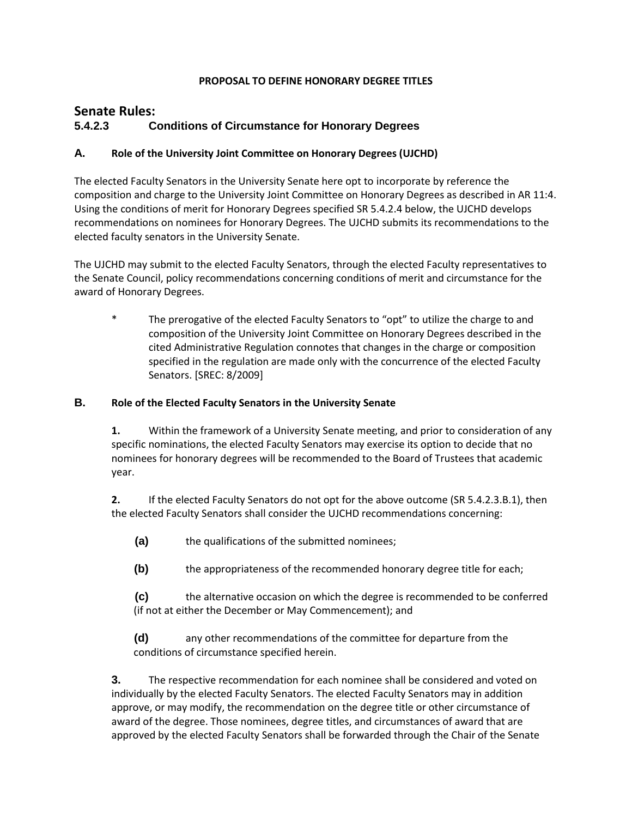#### **PROPOSAL TO DEFINE HONORARY DEGREE TITLES**

# **Senate Rules: 5.4.2.3 Conditions of Circumstance for Honorary Degrees**

#### **A. Role of the University Joint Committee on Honorary Degrees (UJCHD)**

The elected Faculty Senators in the University Senate here opt to incorporate by reference the composition and charge to the University Joint Committee on Honorary Degrees as described in AR 11:4. Using the conditions of merit for Honorary Degrees specified SR 5.4.2.4 below, the UJCHD develops recommendations on nominees for Honorary Degrees. The UJCHD submits its recommendations to the elected faculty senators in the University Senate.

The UJCHD may submit to the elected Faculty Senators, through the elected Faculty representatives to the Senate Council, policy recommendations concerning conditions of merit and circumstance for the award of Honorary Degrees.

\* The prerogative of the elected Faculty Senators to "opt" to utilize the charge to and composition of the University Joint Committee on Honorary Degrees described in the cited Administrative Regulation connotes that changes in the charge or composition specified in the regulation are made only with the concurrence of the elected Faculty Senators. [SREC: 8/2009]

#### **B. Role of the Elected Faculty Senators in the University Senate**

**1.** Within the framework of a University Senate meeting, and prior to consideration of any specific nominations, the elected Faculty Senators may exercise its option to decide that no nominees for honorary degrees will be recommended to the Board of Trustees that academic year.

**2.** If the elected Faculty Senators do not opt for the above outcome (SR 5.4.2.3.B.1), then the elected Faculty Senators shall consider the UJCHD recommendations concerning:

- **(a)** the qualifications of the submitted nominees;
- **(b)** the appropriateness of the recommended honorary degree title for each;

**(c)** the alternative occasion on which the degree is recommended to be conferred (if not at either the December or May Commencement); and

**(d)** any other recommendations of the committee for departure from the conditions of circumstance specified herein.

**3.** The respective recommendation for each nominee shall be considered and voted on individually by the elected Faculty Senators. The elected Faculty Senators may in addition approve, or may modify, the recommendation on the degree title or other circumstance of award of the degree. Those nominees, degree titles, and circumstances of award that are approved by the elected Faculty Senators shall be forwarded through the Chair of the Senate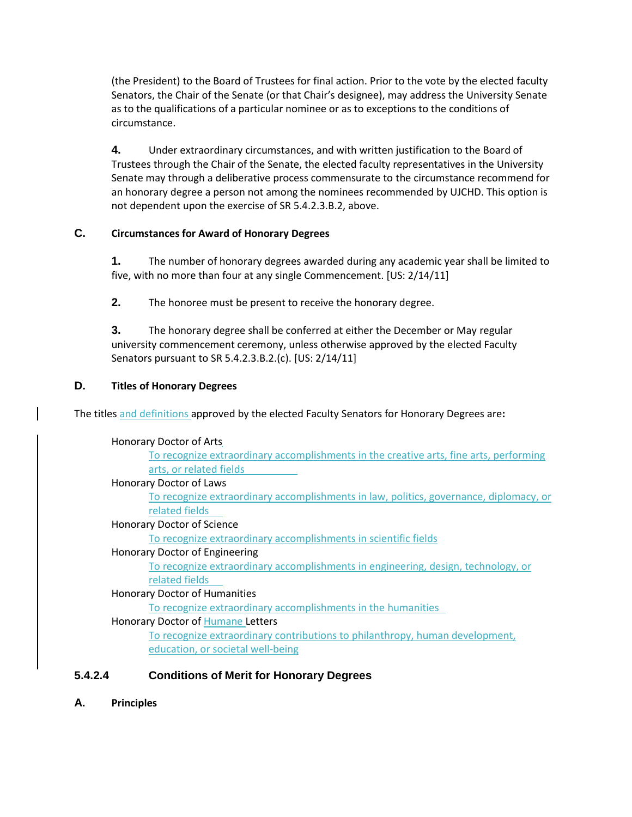(the President) to the Board of Trustees for final action. Prior to the vote by the elected faculty Senators, the Chair of the Senate (or that Chair's designee), may address the University Senate as to the qualifications of a particular nominee or as to exceptions to the conditions of circumstance.

**4.** Under extraordinary circumstances, and with written justification to the Board of Trustees through the Chair of the Senate, the elected faculty representatives in the University Senate may through a deliberative process commensurate to the circumstance recommend for an honorary degree a person not among the nominees recommended by UJCHD. This option is not dependent upon the exercise of SR 5.4.2.3.B.2, above.

# **C. Circumstances for Award of Honorary Degrees**

**1.** The number of honorary degrees awarded during any academic year shall be limited to five, with no more than four at any single Commencement. [US: 2/14/11]

**2.** The honoree must be present to receive the honorary degree.

**3.** The honorary degree shall be conferred at either the December or May regular university commencement ceremony, unless otherwise approved by the elected Faculty Senators pursuant to SR 5.4.2.3.B.2.(c). [US: 2/14/11]

# **D. Titles of Honorary Degrees**

The titles and definitions approved by the elected Faculty Senators for Honorary Degrees are**:**

#### Honorary Doctor of Arts

To recognize extraordinary accomplishments in the creative arts, fine arts, performing arts, or related fields

#### Honorary Doctor of Laws

To recognize extraordinary accomplishments in law, politics, governance, diplomacy, or related fields

#### Honorary Doctor of Science

To recognize extraordinary accomplishments in scientific fields

#### Honorary Doctor of Engineering

To recognize extraordinary accomplishments in engineering, design, technology, or related fields

#### Honorary Doctor of Humanities

To recognize extraordinary accomplishments in the humanities

#### Honorary Doctor of Humane Letters

To recognize extraordinary contributions to philanthropy, human development, education, or societal well-being

# **5.4.2.4 Conditions of Merit for Honorary Degrees**

**A. Principles**